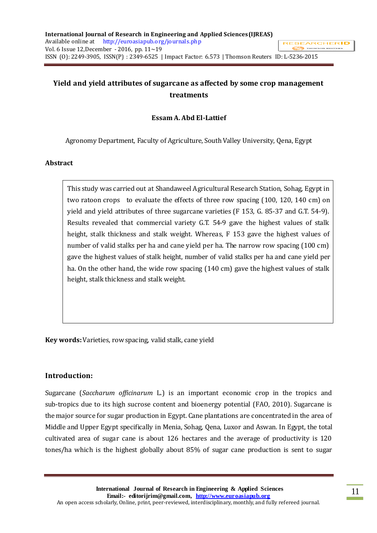# **Yield and yield attributes of sugarcane as affected by some crop management treatments**

## **Essam A. Abd El-Lattief**

Agronomy Department, Faculty of Agriculture, South Valley University, Qena, Egypt

### **Abstract**

This study was carried out at Shandaweel Agricultural Research Station, Sohag, Egypt in two ratoon crops to evaluate the effects of three row spacing (100, 120, 140 cm) on yield and yield attributes of three sugarcane varieties (F 153, G. 85-37 and G.T. 54-9). Results revealed that commercial variety G.T. 54-9 gave the highest values of stalk height, stalk thickness and stalk weight. Whereas, F 153 gave the highest values of number of valid stalks per ha and cane yield per ha. The narrow row spacing (100 cm) gave the highest values of stalk height, number of valid stalks per ha and cane yield per ha. On the other hand, the wide row spacing (140 cm) gave the highest values of stalk height, stalk thickness and stalk weight.

**Key words:** Varieties, row spacing, valid stalk, cane yield

### **Introduction:**

Sugarcane (*Saccharum officinarum* L*.*) is an important economic crop in the tropics and sub-tropics due to its high sucrose content and bioenergy potential (FAO, 2010). Sugarcane is the major source for sugar production in Egypt. Cane plantations are concentrated in the area of Middle and Upper Egypt specifically in Menia, Sohag, Qena, Luxor and Aswan. In Egypt, the total cultivated area of sugar cane is about 126 hectares and the average of productivity is 120 tones/ha which is the highest globally about 85% of sugar cane production is sent to sugar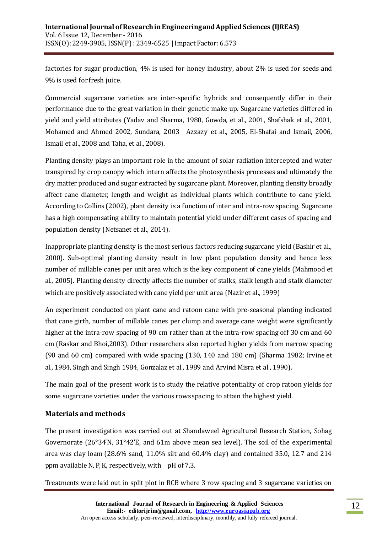factories for sugar production, 4% is used for honey industry, about 2% is used for seeds and 9% is used for fresh juice.

Commercial sugarcane varieties are inter-specific hybrids and consequently differ in their performance due to the great variation in their genetic make up. Sugarcane varieties differed in yield and yield attributes (Yadav and Sharma, 1980, Gowda, et al., 2001, Shafshak et al., 2001, Mohamed and Ahmed 2002, Sundara, 2003 Azzazy et al., 2005, El-Shafai and Ismail, 2006, Ismail et al., 2008 and Taha, et al., 2008).

Planting density plays an important role in the amount of solar radiation intercepted and water transpired by crop canopy which intern affects the photosynthesis processes and ultimately the dry matter produced and sugar extracted by sugarcane plant. Moreover, planting density broadly affect cane diameter, length and weight as individual plants which contribute to cane yield. According to Collins (2002), plant density is a function of inter and intra-row spacing. Sugarcane has a high compensating ability to maintain potential yield under different cases of spacing and population density (Netsanet et al., 2014).

Inappropriate planting density is the most serious factors reducing sugarcane yield (Bashir et al., 2000). Sub-optimal planting density result in low plant population density and hence less number of millable canes per unit area which is the key component of cane yields (Mahmood et al., 2005). Planting density directly affects the number of stalks, stalk length and stalk diameter which are positively associated with cane yield per unit area (Nazir et al., 1999)

An experiment conducted on plant cane and ratoon cane with pre-seasonal planting indicated that cane girth, number of millable canes per clump and average cane weight were significantly higher at the intra-row spacing of 90 cm rather than at the intra-row spacing off 30 cm and 60 cm (Raskar and Bhoi,2003). Other researchers also reported higher yields from narrow spacing (90 and 60 cm) compared with wide spacing (130, 140 and 180 cm) (Sharma 1982; Irvine et al., 1984, Singh and Singh 1984, Gonzalaz et al., 1989 and Arvind Misra et al., 1990).

The main goal of the present work is to study the relative potentiality of crop ratoon yields for some sugarcane varieties under the various rows spacing to attain the highest yield.

## **Materials and methods**

The present investigation was carried out at Shandaweel Agricultural Research Station, Sohag Governorate (26°34'N, 31°42'E, and 61m above mean sea level). The soil of the experimental area was clay loam (28.6% sand, 11.0% silt and 60.4% clay) and contained 35.0, 12.7 and 214 ppm available N, P, K, respectively, with pH of 7.3.

Treatments were laid out in split plot in RCB where 3 row spacing and 3 sugarcane varieties on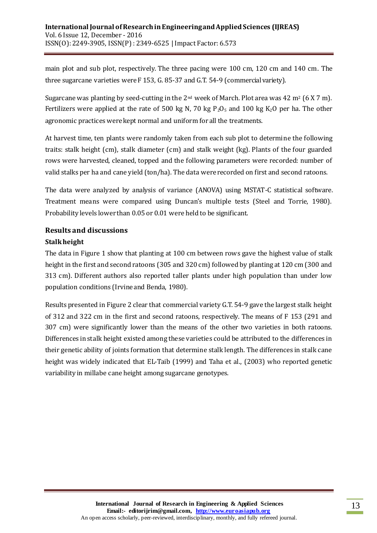main plot and sub plot, respectively. The three pacing were 100 cm, 120 cm and 140 cm. The three sugarcane varieties were F 153, G. 85-37 and G.T. 54-9 (commercial variety).

Sugarcane was planting by seed-cutting in the 2<sup>nd</sup> week of March. Plot area was 42 m<sup>2</sup> (6 X 7 m). Fertilizers were applied at the rate of 500 kg N, 70 kg  $P_2O_5$  and 100 kg K<sub>2</sub>O per ha. The other agronomic practices were kept normal and uniform for all the treatments.

At harvest time, ten plants were randomly taken from each sub plot to determine the following traits: stalk height (cm), stalk diameter (cm) and stalk weight (kg). Plants of the four guarded rows were harvested, cleaned, topped and the following parameters were recorded: number of valid stalks per ha and cane yield (ton/ha). The data were recorded on first and second ratoons.

The data were analyzed by analysis of variance (ANOVA) using MSTAT-C statistical software. Treatment means were compared using Duncan's multiple tests (Steel and Torrie, 1980). Probability levels lower than 0.05 or 0.01 were held to be significant.

# **Results and discussions Stalk height**

The data in Figure 1 show that planting at 100 cm between rows gave the highest value of stalk height in the first and second ratoons (305 and 320 cm) followed by planting at 120 cm (300 and 313 cm). Different authors also reported taller plants under high population than under low population conditions (Irvine and Benda, 1980).

Results presented in Figure 2 clear that commercial variety G.T. 54-9 gave the largest stalk height of 312 and 322 cm in the first and second ratoons, respectively. The means of F 153 (291 and 307 cm) were significantly lower than the means of the other two varieties in both ratoons. Differences in stalk height existed among these varieties could be attributed to the differences in their genetic ability of joints formation that determine stalk length. The differences in stalk cane height was widely indicated that EL-Taib (1999) and Taha et al., (2003) who reported genetic variability in millabe cane height among sugarcane genotypes.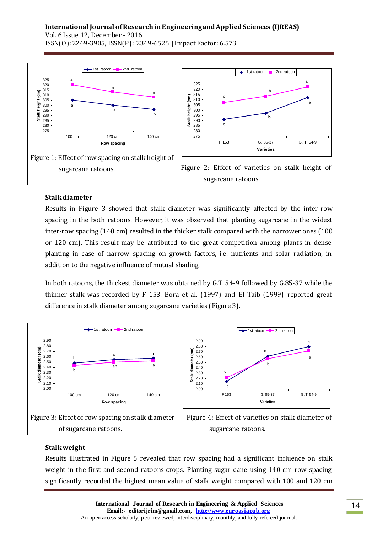# **International Journal of Research in Engineering and Applied Sciences (IJREAS)**

 $+$  1st ratoon  $-$  2nd ratoon  $+$ 1st ratoon  $-$ - $-$ 2nd ratoon 325 a a 325 320 b 320 315 b ί **Stalk height (cm)** 315 c 310 height (cm) **Stalk height (cm)** c 310 305 height a 305 300 a 300 295 b **Stalk** 290 c 295 **b Stalk** 285 290 c 280 285 275 280 100 cm 120 cm 140 cm 275 F 153 G. 85-37 G. T. 54-9 **Row spacing Varieties** Figure 1: Effect of row spacing on stalk height of Figure 2: Effect of varieties on stalk height of sugarcane ratoons. sugarcane ratoons.

Vol. 6 Issue 12, December - 2016 ISSN(O): 2249-3905, ISSN(P) : 2349-6525 | Impact Factor: 6.573

#### **Stalk diameter**

Results in Figure 3 showed that stalk diameter was significantly affected by the inter-row spacing in the both ratoons. However, it was observed that planting sugarcane in the widest inter-row spacing (140 cm) resulted in the thicker stalk compared with the narrower ones (100 or 120 cm). This result may be attributed to the great competition among plants in dense planting in case of narrow spacing on growth factors, i.e. nutrients and solar radiation, in addition to the negative influence of mutual shading.

In both ratoons, the thickest diameter was obtained by G.T. 54-9 followed by G.85-37 while the thinner stalk was recorded by F 153. Bora et al. (1997) and El Taib (1999) reported great difference in stalk diameter among sugarcane varieties (Figure 3).



### **Stalk weight**

Results illustrated in Figure 5 revealed that row spacing had a significant influence on stalk weight in the first and second ratoons crops. Planting sugar cane using 140 cm row spacing significantly recorded the highest mean value of stalk weight compared with 100 and 120 cm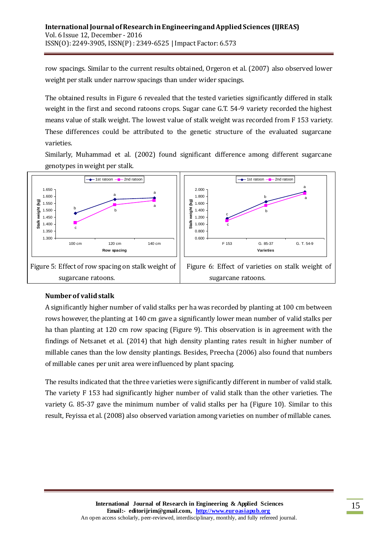row spacings. Similar to the current results obtained, Orgeron et al. (2007) also observed lower weight per stalk under narrow spacings than under wider spacings.

The obtained results in Figure 6 revealed that the tested varieties significantly differed in stalk weight in the first and second ratoons crops. Sugar cane G.T. 54-9 variety recorded the highest means value of stalk weight. The lowest value of stalk weight was recorded from F 153 variety. These differences could be attributed to the genetic structure of the evaluated sugarcane varieties.

Similarly, Muhammad et al. (2002) found significant difference among different sugarcane genotypes in weight per stalk.



### **Number of valid stalk**

A significantly higher number of valid stalks per ha was recorded by planting at 100 cm between rows however, the planting at 140 cm gave a significantly lower mean number of valid stalks per ha than planting at 120 cm row spacing (Figure 9). This observation is in agreement with the findings of Netsanet et al. (2014) that high density planting rates result in higher number of millable canes than the low density plantings. Besides, Preecha (2006) also found that numbers of millable canes per unit area were influenced by plant spacing.

The results indicated that the three varieties were significantly different in number of valid stalk. The variety F 153 had significantly higher number of valid stalk than the other varieties. The variety G. 85-37 gave the minimum number of valid stalks per ha (Figure 10). Similar to this result, Feyissa et al. (2008) also observed variation among varieties on number of millable canes.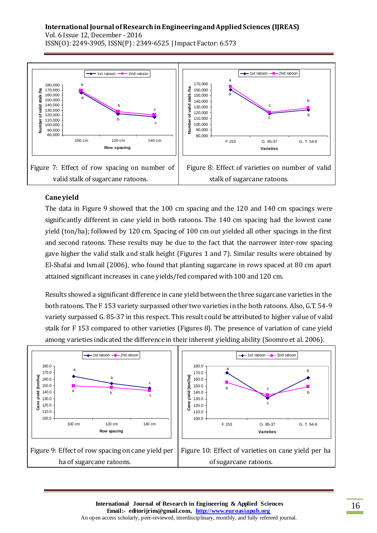#### **International Journal of Research in Engineering and Applied Sciences (IJREAS)** Vol. 6 Issue 12, December - 2016 ISSN(O): 2249-3905, ISSN(P) : 2349-6525 | Impact Factor: 6.573



# **Cane yield**

The data in Figure 9 showed that the 100 cm spacing and the 120 and 140 cm spacings were significantly different in cane yield in both ratoons. The 140 cm spacing had the lowest cane yield (ton/ha); followed by 120 cm. Spacing of 100 cm out yielded all other spacings in the first and second ratoons. These results may be due to the fact that the narrower inter-row spacing gave higher the valid stalk and stalk height (Figures 1 and 7). Similar results were obtained by El-Shafai and Ismail (2006), who found that planting sugarcane in rows spaced at 80 cm apart attained significant increases in cane yields/fed compared with 100 and 120 cm.

Results showed a significant difference in cane yield between the three sugarcane varieties in the both ratoons. The F 153 variety surpassed other two varieties in the both ratoons. Also, G.T. 54-9 variety surpassed G. 85-37 in this respect. This result could be attributed to higher value of valid stalk for F 153 compared to other varieties (Figures 8). The presence of variation of cane yield among varieties indicated the difference in their inherent yielding ability (Soomro et al. 2006).

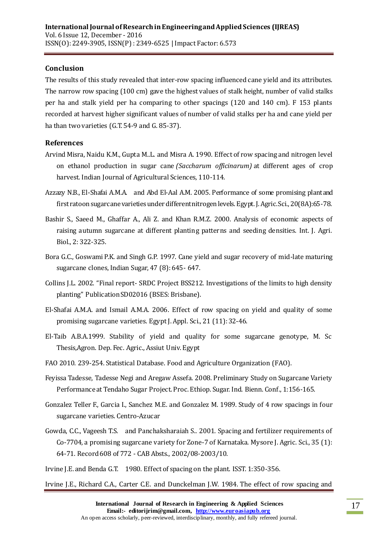## **Conclusion**

The results of this study revealed that inter-row spacing influenced cane yield and its attributes. The narrow row spacing (100 cm) gave the highest values of stalk height, number of valid stalks per ha and stalk yield per ha comparing to other spacings (120 and 140 cm). F 153 plants recorded at harvest higher significant values of number of valid stalks per ha and cane yield per ha than two varieties (G.T. 54-9 and G. 85-37).

## **References**

- Arvind Misra, Naidu K.M., Gupta M..L. and Misra A. 1990. Effect of row spacing and nitrogen level on ethanol production in sugar cane *(Saccharum officinarum)* at different ages of crop harvest. Indian Journal of Agricultural Sciences, 110-114.
- Azzazy N.B., El-Shafai A.M.A. and Abd El-Aal A.M. 2005. Performance of some promising plant and first ratoon sugarcane varieties under different nitrogen levels. Egypt. J. Agric. Sci., 20(8A):65-78.
- Bashir S., Saeed M., Ghaffar A., Ali Z. and Khan R.M.Z. 2000. Analysis of economic aspects of raising autumn sugarcane at different planting patterns and seeding densities. Int. J. Agri. Biol., 2: 322-325.
- Bora G.C., Goswami P.K. and Singh G.P. 1997. Cane yield and sugar recovery of mid-late maturing sugarcane clones, Indian Sugar, 47 (8): 645- 647.
- Collins J.L. 2002. "Final report- SRDC Project BSS212. Investigations of the limits to high density planting" Publication SD02016 (BSES: Brisbane).
- El-Shafai A.M.A. and Ismail A.M.A. 2006. Effect of row spacing on yield and quality of some promising sugarcane varieties. Egypt J. Appl. Sci., 21 (11): 32-46.
- El-Taib A.B.A.1999. Stability of yield and quality for some sugarcane genotype, M. Sc Thesis,Agron. Dep. Fec. Agric., Assiut Univ. Egypt
- FAO 2010. 239-254. Statistical Database. Food and Agriculture Organization (FAO).
- Feyissa Tadesse, Tadesse Negi and Aregaw Assefa. 2008. Preliminary Study on Sugarcane Variety Performance at Tendaho Sugar Project. Proc. Ethiop. Sugar. Ind. Bienn. Conf., 1:156-165.
- Gonzalez Teller F., Garcia I., Sanchez M.E. and Gonzalez M. 1989. Study of 4 row spacings in four sugarcane varieties. Centro-Azucar
- Gowda, C.C., Vageesh T.S. and Panchaksharaiah S.. 2001. Spacing and fertilizer requirements of Co-7704, a promising sugarcane variety for Zone-7 of Karnataka. Mysore J. Agric. Sci., 35 (1): 64-71. Record 608 of 772 - CAB Absts., 2002/08-2003/10.
- Irvine J.E. and Benda G.T. 1980. Effect of spacing on the plant. ISST. 1:350-356.

Irvine J.E., Richard C.A., Carter C.E. and Dunckelman J.W. 1984. The effect of row spacing and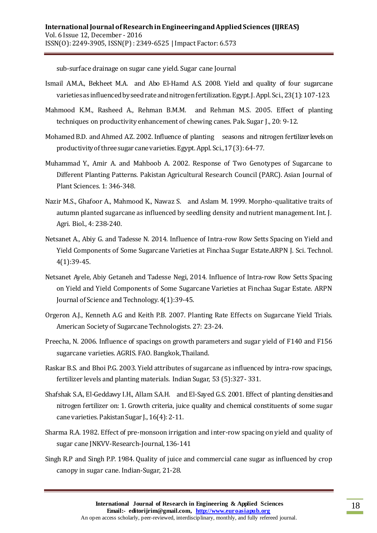sub-surface drainage on sugar cane yield. Sugar cane Journal

- Ismail A.M.A., Bekheet M.A. and Abo El-Hamd A.S. 2008. Yield and quality of four sugarcane varieties as influenced by seed rate and nitrogen fertilization. Egypt. J. Appl. Sci., 23(1): 107-123.
- Mahmood K.M., Rasheed A., Rehman B.M.M. and Rehman M.S. 2005. Effect of planting techniques on productivity enhancement of chewing canes. Pak. Sugar J., 20: 9-12.
- Mohamed B.D. and Ahmed A.Z. 2002. Influence of planting seasons and nitrogen fertilizer levels on productivity of three sugar cane varieties. Egypt. Appl. Sci., 17 (3): 64-77.
- Muhammad Y., Amir A. and Mahboob A. 2002. Response of Two Genotypes of Sugarcane to Different Planting Patterns. Pakistan Agricultural Research Council (PARC). Asian Journal of Plant Sciences. 1: 346-348.
- Nazir M.S., Ghafoor A., Mahmood K., Nawaz S. and Aslam M. 1999. Morpho-qualitative traits of autumn planted sugarcane as influenced by seedling density and nutrient management. Int. J. Agri. Biol., 4: 238-240.
- Netsanet A., Abiy G. and Tadesse N. 2014. Influence of Intra-row Row Setts Spacing on Yield and Yield Components of Some Sugarcane Varieties at Finchaa Sugar Estate.ARPN J. Sci. Technol. 4(1):39-45.
- Netsanet Ayele, Abiy Getaneh and Tadesse Negi, 2014. Influence of Intra-row Row Setts Spacing on Yield and Yield Components of Some Sugarcane Varieties at Finchaa Sugar Estate. ARPN Journal of Science and Technology. 4(1):39-45.
- Orgeron A.J., Kenneth A.G and Keith P.B. 2007. Planting Rate Effects on Sugarcane Yield Trials. American Society of Sugarcane Technologists. 27: 23-24.
- Preecha, N. 2006. Influence of spacings on growth parameters and sugar yield of F140 and F156 sugarcane varieties. AGRIS. FAO. Bangkok, Thailand.
- Raskar B.S. and Bhoi P.G. 2003. Yield attributes of sugarcane as influenced by intra-row spacings, fertilizer levels and planting materials. Indian Sugar, 53 (5):327- 331.
- Shafshak S.A., El-Geddawy I.H., Allam S.A.H. and El-Sayed G.S. 2001. Effect of planting densities and nitrogen fertilizer on: 1. Growth criteria, juice quality and chemical constituents of some sugar cane varieties. Pakistan Sugar J., 16(4): 2-11.
- Sharma R.A. 1982. Effect of pre-monsoon irrigation and inter-row spacing on yield and quality of sugar cane JNKVV-Research-Journal, 136-141
- Singh R.P and Singh P.P. 1984. Quality of juice and commercial cane sugar as influenced by crop canopy in sugar cane. Indian-Sugar, 21-28.